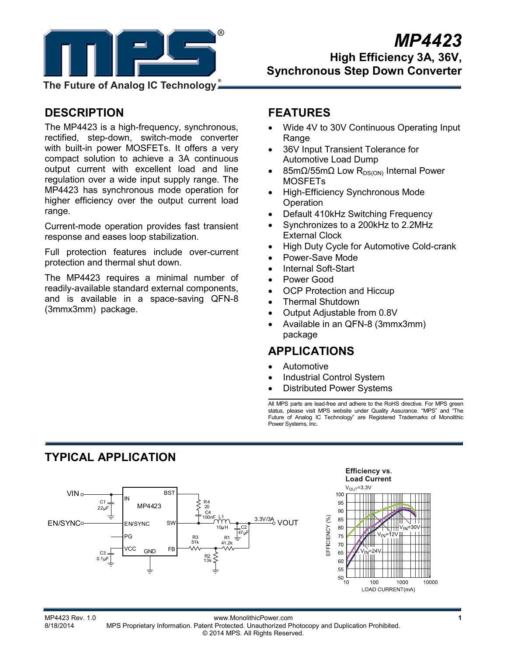

## *MP4423*  **High Efficiency 3A, 36V, Synchronous Step Down Converter**

**The Future of Analog IC Technology**

### **DESCRIPTION**

The MP4423 is a high-frequency, synchronous, rectified, step-down, switch-mode converter with built-in power MOSFETs. It offers a very compact solution to achieve a 3A continuous output current with excellent load and line regulation over a wide input supply range. The MP4423 has synchronous mode operation for higher efficiency over the output current load range.

Current-mode operation provides fast transient response and eases loop stabilization.

Full protection features include over-current protection and thermal shut down.

The MP4423 requires a minimal number of readily-available standard external components, and is available in a space-saving QFN-8 (3mmx3mm) package.

### **FEATURES**

- Wide 4V to 30V Continuous Operating Input **Range**
- 36V Input Transient Tolerance for Automotive Load Dump
- 85mΩ/55mΩ Low R<sub>DS(ON)</sub> Internal Power MOSFETs
- High-Efficiency Synchronous Mode **Operation**
- Default 410kHz Switching Frequency
- Synchronizes to a 200kHz to 2.2MHz External Clock
- High Duty Cycle for Automotive Cold-crank
- Power-Save Mode
- Internal Soft-Start
- Power Good
- **OCP Protection and Hiccup**
- Thermal Shutdown
- Output Adjustable from 0.8V
- Available in an QFN-8 (3mmx3mm) package

### **APPLICATIONS**

- Automotive
- Industrial Control System
- Distributed Power Systems

All MPS parts are lead-free and adhere to the RoHS directive. For MPS green status, please visit MPS website under Quality Assurance. "MPS" and Future of Analog IC Technology" are Registered Trademarks of Monolithic Power Systems, Inc.

## **TYPICAL APPLICATION**



MP4423 Rev. 1.0 www.MonolithicPower.com **1** MPS Proprietary Information. Patent Protected. Unauthorized Photocopy and Duplication Prohibited. © 2014 MPS. All Rights Reserved.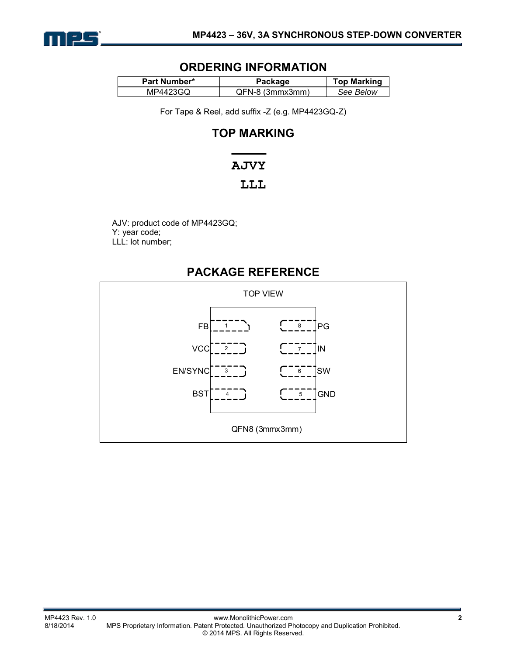

### **ORDERING INFORMATION**

| <b>Part Number*</b> | Package         |           |
|---------------------|-----------------|-----------|
| MP4423GQ            | QFN-8 (3mmx3mm) | See Below |

For Tape & Reel, add suffix -Z (e.g. MP4423GQ-Z)

### **TOP MARKING**

# **AJVY**

### LLL

AJV: product code of MP4423GQ; Y: year code; LLL: lot number;

### **PACKAGE REFERENCE**

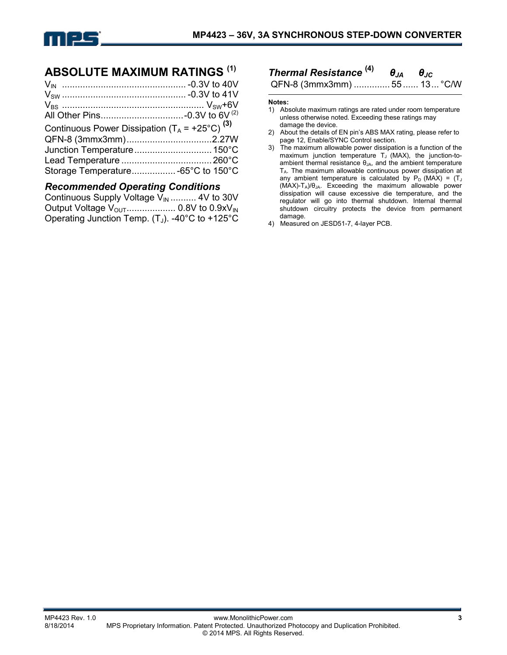

### **ABSOLUTE MAXIMUM RATINGS (1)**

| Continuous Power Dissipation $(T_A = +25^{\circ}C)^{(3)}$ |  |
|-----------------------------------------------------------|--|
|                                                           |  |
|                                                           |  |
|                                                           |  |
|                                                           |  |
|                                                           |  |

### *Recommended Operating Conditions*

| Continuous Supply Voltage $V_{\text{IN}}$ 4V to 30V |  |
|-----------------------------------------------------|--|
|                                                     |  |
| Operating Junction Temp. $(T_J)$ . -40°C to +125°C  |  |

# *Thermal Resistance* **(4)** *θJA θJC*

QFN-8 (3mmx3mm) .............. 55 ...... 13 ... °C/W

#### **Notes:**

- 1) Absolute maximum ratings are rated under room temperature unless otherwise noted. Exceeding these ratings may damage the device.
- 2) About the details of EN pin's ABS MAX rating, please refer to page 12, Enable/SYNC Control section.
- 3) The maximum allowable power dissipation is a function of the maximum junction temperature  $T_J$  (MAX), the junction-toambient thermal resistance  $\theta_{JA}$ , and the ambient temperature TA. The maximum allowable continuous power dissipation at any ambient temperature is calculated by  $P_D$  (MAX) = (T<sub>J</sub>  $(MAX)-T_A)/\theta_{JA}$ . Exceeding the maximum allowable power dissipation will cause excessive die temperature, and the regulator will go into thermal shutdown. Internal thermal shutdown circuitry protects the device from permanent damage.
- 4) Measured on JESD51-7, 4-layer PCB.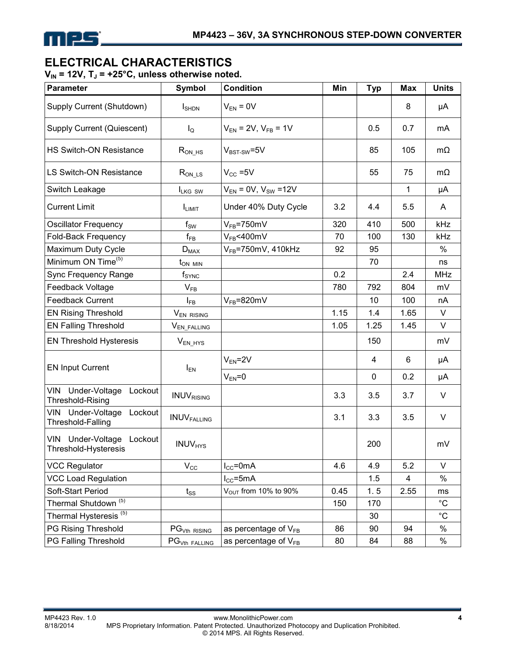

### **ELECTRICAL CHARACTERISTICS**

V<sub>IN</sub> = 12V, T<sub>J</sub> = +25°C, unless otherwise noted.

| <b>Parameter</b>                                               | <b>Symbol</b>                        | <b>Condition</b>                 | Min  | <b>Typ</b> | <b>Max</b>     | <b>Units</b> |
|----------------------------------------------------------------|--------------------------------------|----------------------------------|------|------------|----------------|--------------|
| Supply Current (Shutdown)                                      | $I_{\text{SHDN}}$                    | $V_{EN} = 0V$                    |      |            | 8              | μA           |
| Supply Current (Quiescent)                                     | $I_{\mathsf{Q}}$                     | $V_{EN}$ = 2V, $V_{FB}$ = 1V     |      | 0.5        | 0.7            | mA           |
| <b>HS Switch-ON Resistance</b>                                 | $R_{ON_HS}$                          | $V_{BST-SW} = 5V$                |      | 85         | 105            | $m\Omega$    |
| <b>LS Switch-ON Resistance</b>                                 | $R_{ON\_\text{LS}}$                  | $V_{CC} = 5V$                    |      | 55         | 75             | $m\Omega$    |
| Switch Leakage                                                 | ILKG SW                              | $V_{EN} = 0V$ , $V_{SW} = 12V$   |      |            | 1              | μA           |
| <b>Current Limit</b>                                           | <b>ILIMIT</b>                        | Under 40% Duty Cycle<br>3.2      |      | 4.4        | 5.5            | A            |
| <b>Oscillator Frequency</b>                                    | $f_{SW}$                             | $V_{FB} = 750$ mV                | 320  | 410        | 500            | kHz          |
| Fold-Back Frequency                                            | $f_{\mathsf{FB}}$                    | $V_{FB}$ <400mV                  | 70   | 100        | 130            | kHz          |
| Maximum Duty Cycle                                             | $D_{MAX}$                            | $V_{FB}$ =750mV, 410kHz          | 92   | 95         |                | $\%$         |
| Minimum ON Time <sup>(5)</sup>                                 | $t_{ON~MIN}$                         |                                  |      | 70         |                | ns           |
| Sync Frequency Range                                           | $f_{\footnotesize\textnormal{SYNC}}$ |                                  | 0.2  |            | 2.4            | <b>MHz</b>   |
| Feedback Voltage                                               | $V_{FB}$                             |                                  | 780  | 792        | 804            | mV           |
| <b>Feedback Current</b>                                        | l <sub>FB</sub>                      | $V_{FB} = 820$ mV                |      | 10         | 100            | nA           |
| <b>EN Rising Threshold</b>                                     | $V_{EN\ RISING}$                     |                                  | 1.15 | 1.4        | 1.65           | V            |
| <b>EN Falling Threshold</b>                                    | V <sub>EN_FALLING</sub>              |                                  | 1.05 | 1.25       | 1.45           | V            |
| <b>EN Threshold Hysteresis</b>                                 | $V_{EN_HYS}$                         |                                  |      | 150        |                | mV           |
| <b>EN Input Current</b>                                        | $I_{EN}$                             | $V_{EN} = 2V$                    |      | 4          | 6              | μA           |
|                                                                |                                      | $V_{EN} = 0$                     |      | 0          | 0.2            | μA           |
| Under-Voltage<br><b>VIN</b><br>Lockout<br>Threshold-Rising     | <b>INUVRISING</b>                    |                                  | 3.3  | 3.5        | 3.7            | V            |
| Under-Voltage<br>VIN<br>Lockout<br>Threshold-Falling           | <b>INUVFALLING</b>                   |                                  | 3.1  | 3.3        | 3.5            | V            |
| Under-Voltage<br><b>VIN</b><br>Lockout<br>Threshold-Hysteresis | <b>INUV<sub>HYS</sub></b>            |                                  |      | 200        |                | mV           |
| <b>VCC Regulator</b>                                           | $V_{\rm CC}$                         | $I_{CC}$ =0mA                    | 4.6  | 4.9        | 5.2            | V            |
| <b>VCC Load Regulation</b>                                     |                                      | $I_{CC}$ =5mA                    |      | 1.5        | $\overline{4}$ | $\%$         |
| Soft-Start Period                                              | $t_{SS}$                             | V <sub>OUT</sub> from 10% to 90% | 0.45 | 1.5        | 2.55           | ms           |
| Thermal Shutdown <sup>(5)</sup>                                |                                      |                                  | 150  | 170        |                | $^{\circ}C$  |
| Thermal Hysteresis <sup>(5)</sup>                              |                                      |                                  |      | 30         |                | $^{\circ}C$  |
| PG Rising Threshold                                            | PG <sub>Vth RISING</sub>             | as percentage of $V_{FB}$        | 86   | 90         | 94             | $\%$         |
| PG Falling Threshold                                           | $PGVth$ Falling                      | as percentage of $V_{FB}$        | 80   | 84         | 88             | $\%$         |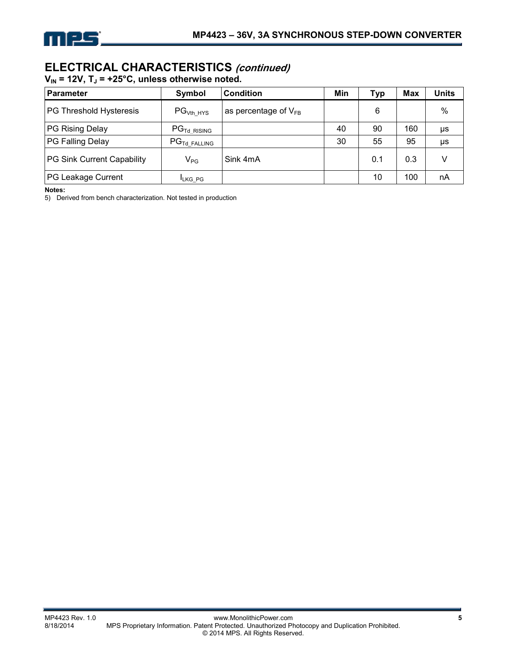

### **ELECTRICAL CHARACTERISTICS (continued)**

 $V_{IN}$  = 12V, T<sub>J</sub> = +25°C, unless otherwise noted.

| <b>Parameter</b>           | Symbol                              | <b>Condition</b>          | Min | Тур | <b>Max</b> | Units |
|----------------------------|-------------------------------------|---------------------------|-----|-----|------------|-------|
| PG Threshold Hysteresis    | PG <sub>Vth HYS</sub>               | as percentage of $V_{FB}$ |     | 6   |            | $\%$  |
| PG Rising Delay            | $\mathsf{PG}_{\mathsf{Td\_RISING}}$ |                           | 40  | 90  | 160        | μs    |
| PG Falling Delay           | $PG_{\text{Td FALLING}}$            |                           | 30  | 55  | 95         | μs    |
| PG Sink Current Capability | $V_{PG}$                            | Sink 4mA                  |     | 0.1 | 0.3        |       |
| PG Leakage Current         | <b>ILKG PG</b>                      |                           |     | 10  | 100        | nA    |

**Notes:** 

5) Derived from bench characterization. Not tested in production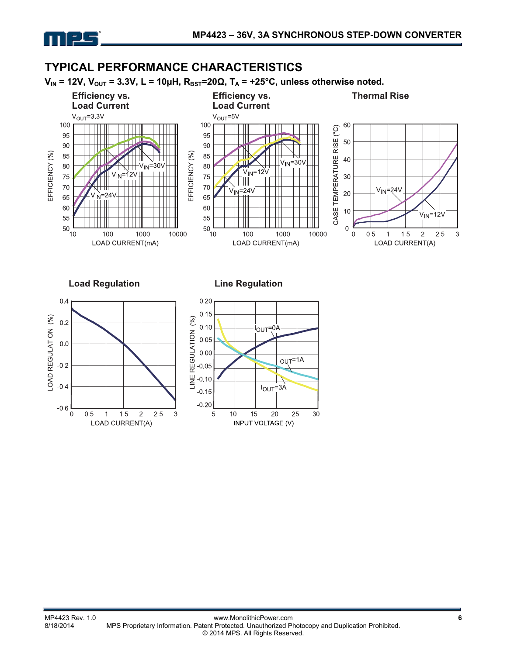

### **TYPICAL PERFORMANCE CHARACTERISTICS**

 $V_{IN}$  = 12V,  $V_{OUT}$  = 3.3V, L = 10µH,  $R_{BST}$ =20 $\Omega$ ,  $T_A$  = +25°C, unless otherwise noted.

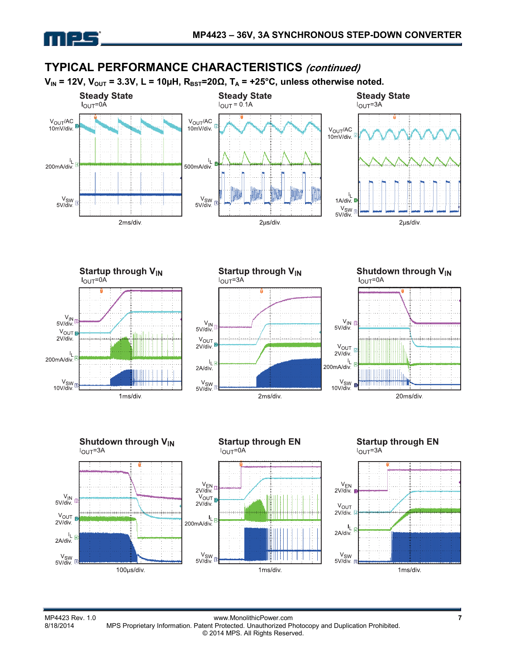

### **TYPICAL PERFORMANCE CHARACTERISTICS (continued)**















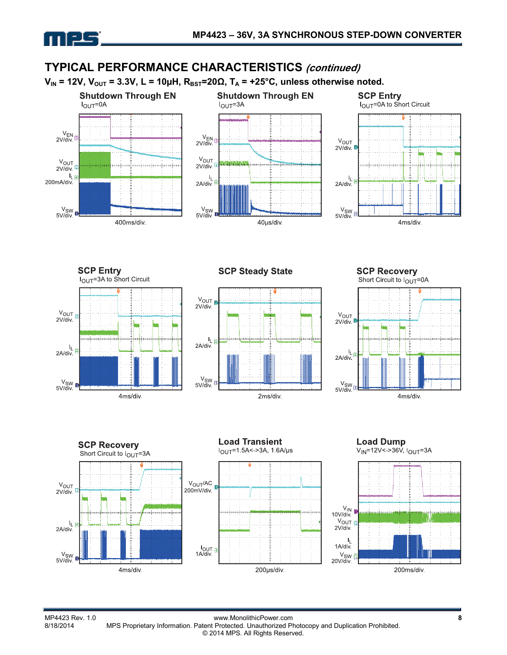

#### **TYPICAL PERFORMANCE CHARACTERISTICS (continued)**  $V_{IN}$  = 12V,  $V_{OUT}$  = 3.3V, L = 10µH,  $R_{BST}$ =20 $\Omega$ ,  $T_A$  = +25°C, unless otherwise noted. **SCP Entry**<br>I<sub>OUT</sub>=0A to Short Circuit **Shutdown Through EN Shutdown Through EN**  $I_{OUT} = 0A$  $I_{\text{OUT}} = 3A$  $\frac{V_{EN}}{2V/div}$  $\frac{V_{EN}}{2V/div}$  $V_{OUT}$  $2V$ /div  $V_{\text{OUT}}$ V<sub>OUT</sub><br>2V/div. 2V/div.  $I_{L}$  $\frac{I_L}{2A\sin A}$ 200mA/div 2A/div  $V_{SW}$ <br>5V/div. V<sub>SW</sub><br>5V/div V<sub>SW</sub><br>5V/div 400ms/div. 40µs/div. 4ms/div.







**SCP Recovery** Short Circuit to  $I_{\text{OUT}}$ =0A









MP4423 Rev. 1.0 www.MonolithicPower.com **8** MPS Proprietary Information. Patent Protected. Unauthorized Photocopy and Duplication Prohibited. © 2014 MPS. All Rights Reserved.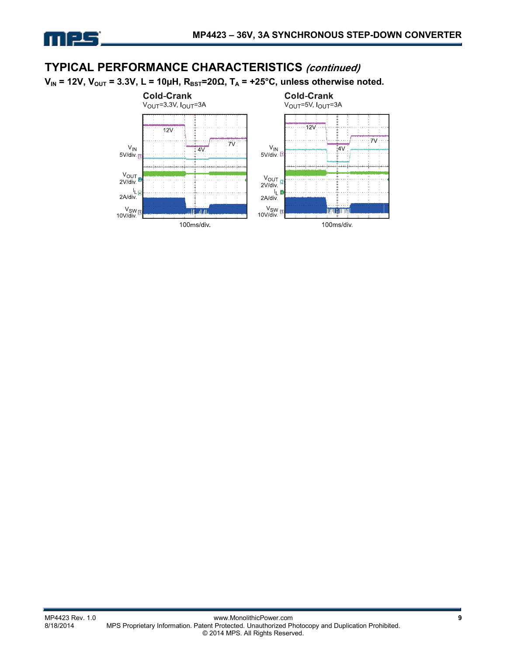

### **TYPICAL PERFORMANCE CHARACTERISTICS (continued)**

 $V_{IN}$  = 12V,  $V_{OUT}$  = 3.3V, L = 10μH,  $R_{BST}$ =20Ω, T<sub>A</sub> = +25°C, unless otherwise noted.

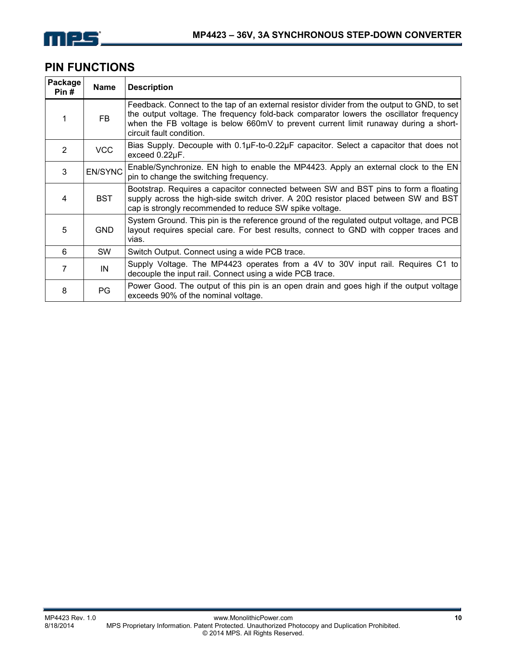

### **PIN FUNCTIONS**

| Package<br>Pin# | <b>Name</b>    | <b>Description</b>                                                                                                                                                                                                                                                                                       |
|-----------------|----------------|----------------------------------------------------------------------------------------------------------------------------------------------------------------------------------------------------------------------------------------------------------------------------------------------------------|
|                 | <b>FB</b>      | Feedback. Connect to the tap of an external resistor divider from the output to GND, to set<br>the output voltage. The frequency fold-back comparator lowers the oscillator frequency<br>when the FB voltage is below 660mV to prevent current limit runaway during a short-<br>circuit fault condition. |
| 2               | <b>VCC</b>     | Bias Supply. Decouple with $0.1\mu$ F-to-0.22 $\mu$ F capacitor. Select a capacitor that does not<br>exceed 0.22µF.                                                                                                                                                                                      |
| 3               | <b>EN/SYNC</b> | Enable/Synchronize. EN high to enable the MP4423. Apply an external clock to the EN<br>pin to change the switching frequency.                                                                                                                                                                            |
| 4               | <b>BST</b>     | Bootstrap. Requires a capacitor connected between SW and BST pins to form a floating<br>supply across the high-side switch driver. A 20 $\Omega$ resistor placed between SW and BST<br>cap is strongly recommended to reduce SW spike voltage.                                                           |
| 5               | <b>GND</b>     | System Ground. This pin is the reference ground of the regulated output voltage, and PCB<br>layout requires special care. For best results, connect to GND with copper traces and<br>vias.                                                                                                               |
| 6               | <b>SW</b>      | Switch Output. Connect using a wide PCB trace.                                                                                                                                                                                                                                                           |
| 7               | IN             | Supply Voltage. The MP4423 operates from a 4V to 30V input rail. Requires C1 to<br>decouple the input rail. Connect using a wide PCB trace.                                                                                                                                                              |
| 8               | PG             | Power Good. The output of this pin is an open drain and goes high if the output voltage<br>exceeds 90% of the nominal voltage.                                                                                                                                                                           |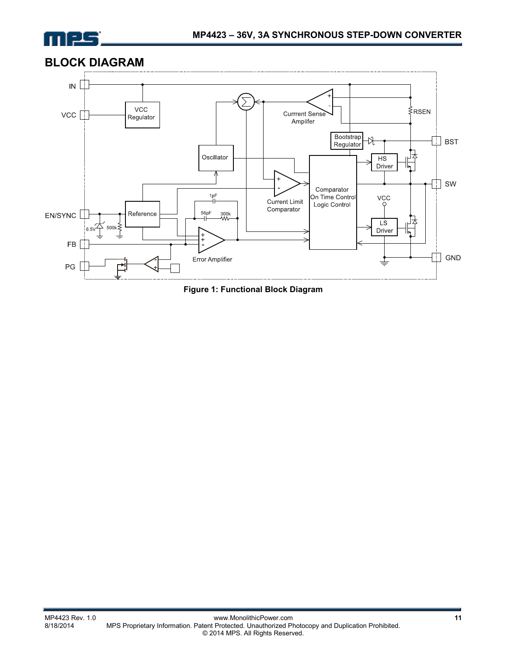

### **BLOCK DIAGRAM**



**Figure 1: Functional Block Diagram**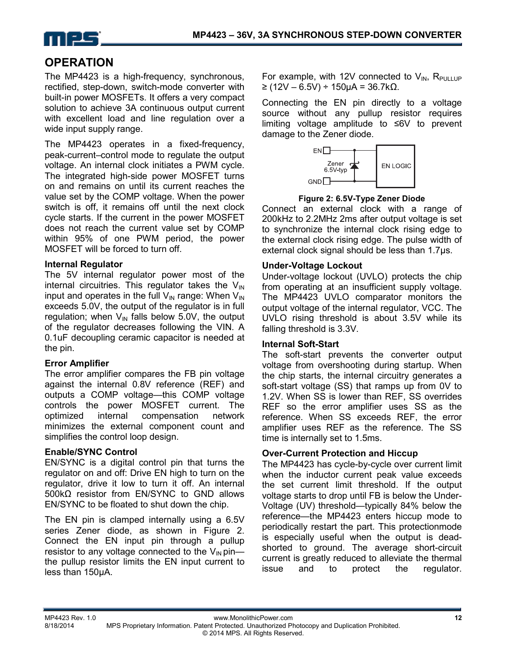

### **OPERATION**

The MP4423 is a high-frequency, synchronous, rectified, step-down, switch-mode converter with built-in power MOSFETs. It offers a very compact solution to achieve 3A continuous output current with excellent load and line regulation over a wide input supply range.

The MP4423 operates in a fixed-frequency, peak-current–control mode to regulate the output voltage. An internal clock initiates a PWM cycle. The integrated high-side power MOSFET turns on and remains on until its current reaches the value set by the COMP voltage. When the power switch is off, it remains off until the next clock cycle starts. If the current in the power MOSFET does not reach the current value set by COMP within 95% of one PWM period, the power MOSFET will be forced to turn off.

### **Internal Regulator**

The 5V internal regulator power most of the internal circuitries. This regulator takes the  $V_{IN}$ input and operates in the full  $V_{IN}$  range: When  $V_{IN}$ exceeds 5.0V, the output of the regulator is in full regulation; when  $V_{\text{IN}}$  falls below 5.0V, the output of the regulator decreases following the VIN. A 0.1uF decoupling ceramic capacitor is needed at the pin.

### **Error Amplifier**

The error amplifier compares the FB pin voltage against the internal 0.8V reference (REF) and outputs a COMP voltage—this COMP voltage controls the power MOSFET current. The optimized internal compensation network minimizes the external component count and simplifies the control loop design.

### **Enable/SYNC Control**

EN/SYNC is a digital control pin that turns the regulator on and off: Drive EN high to turn on the regulator, drive it low to turn it off. An internal 500kΩ resistor from EN/SYNC to GND allows EN/SYNC to be floated to shut down the chip.

The EN pin is clamped internally using a 6.5V series Zener diode, as shown in Figure 2. Connect the EN input pin through a pullup resistor to any voltage connected to the  $V_{\text{IN}}$  pin the pullup resistor limits the EN input current to less than 150µA.

For example, with 12V connected to  $V_{IN}$ , R<sub>PULLUP</sub> ≥ (12V – 6.5V) ÷ 150µA = 36.7kΩ.

Connecting the EN pin directly to a voltage source without any pullup resistor requires limiting voltage amplitude to ≤6V to prevent damage to the Zener diode.



**Figure 2: 6.5V-Type Zener Diode** 

Connect an external clock with a range of 200kHz to 2.2MHz 2ms after output voltage is set to synchronize the internal clock rising edge to the external clock rising edge. The pulse width of external clock signal should be less than 1.7μs.

### **Under-Voltage Lockout**

Under-voltage lockout (UVLO) protects the chip from operating at an insufficient supply voltage. The MP4423 UVLO comparator monitors the output voltage of the internal regulator, VCC. The UVLO rising threshold is about 3.5V while its falling threshold is 3.3V.

#### **Internal Soft-Start**

The soft-start prevents the converter output voltage from overshooting during startup. When the chip starts, the internal circuitry generates a soft-start voltage (SS) that ramps up from 0V to 1.2V. When SS is lower than REF, SS overrides REF so the error amplifier uses SS as the reference. When SS exceeds REF, the error amplifier uses REF as the reference. The SS time is internally set to 1.5ms.

### **Over-Current Protection and Hiccup**

The MP4423 has cycle-by-cycle over current limit when the inductor current peak value exceeds the set current limit threshold. If the output voltage starts to drop until FB is below the Under-Voltage (UV) threshold—typically 84% below the reference—the MP4423 enters hiccup mode to periodically restart the part. This protectionmode is especially useful when the output is deadshorted to ground. The average short-circuit current is greatly reduced to alleviate the thermal issue and to protect the regulator.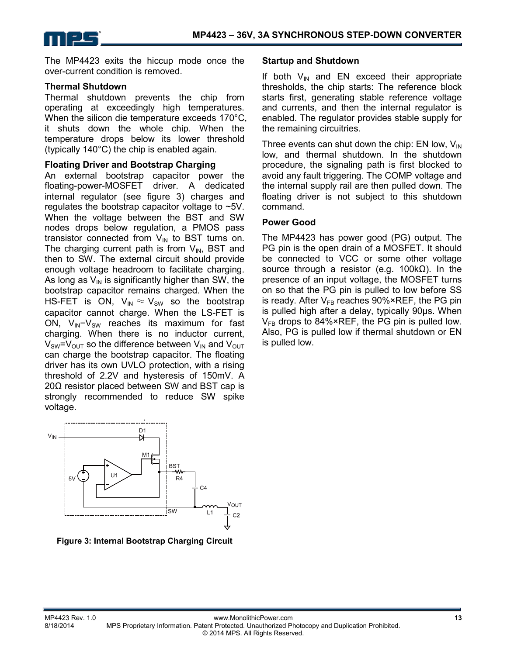

The MP4423 exits the hiccup mode once the over-current condition is removed.

#### **Thermal Shutdown**

Thermal shutdown prevents the chip from operating at exceedingly high temperatures. When the silicon die temperature exceeds 170°C, it shuts down the whole chip. When the temperature drops below its lower threshold (typically 140°C) the chip is enabled again.

#### **Floating Driver and Bootstrap Charging**

An external bootstrap capacitor power the floating-power-MOSFET driver. A dedicated internal regulator (see figure 3) charges and regulates the bootstrap capacitor voltage to ~5V. When the voltage between the BST and SW nodes drops below regulation, a PMOS pass transistor connected from  $V_{\text{IN}}$  to BST turns on. The charging current path is from  $V_{IN}$ , BST and then to SW. The external circuit should provide enough voltage headroom to facilitate charging. As long as  $V_{\text{IN}}$  is significantly higher than SW, the bootstrap capacitor remains charged. When the HS-FET is ON,  $V_{IN} \approx V_{SW}$  so the bootstrap capacitor cannot charge. When the LS-FET is ON,  $V_{\text{IN}}-V_{\text{SW}}$  reaches its maximum for fast charging. When there is no inductor current,  $V_{SW} = V_{OUT}$  so the difference between  $V_{IN}$  and  $V_{OUT}$ can charge the bootstrap capacitor. The floating driver has its own UVLO protection, with a rising threshold of 2.2V and hysteresis of 150mV. A  $20Ω$  resistor placed between SW and BST cap is strongly recommended to reduce SW spike voltage.



**Figure 3: Internal Bootstrap Charging Circuit** 

#### **Startup and Shutdown**

If both  $V_{\text{IN}}$  and EN exceed their appropriate thresholds, the chip starts: The reference block starts first, generating stable reference voltage and currents, and then the internal regulator is enabled. The regulator provides stable supply for the remaining circuitries.

Three events can shut down the chip: EN low,  $V_{IN}$ low, and thermal shutdown. In the shutdown procedure, the signaling path is first blocked to avoid any fault triggering. The COMP voltage and the internal supply rail are then pulled down. The floating driver is not subject to this shutdown command.

### **Power Good**

The MP4423 has power good (PG) output. The PG pin is the open drain of a MOSFET. It should be connected to VCC or some other voltage source through a resistor (e.g. 100kΩ). In the presence of an input voltage, the MOSFET turns on so that the PG pin is pulled to low before SS is ready. After  $V_{FB}$  reaches 90%×REF, the PG pin is pulled high after a delay, typically 90μs. When  $V_{FB}$  drops to 84%×REF, the PG pin is pulled low. Also, PG is pulled low if thermal shutdown or EN is pulled low.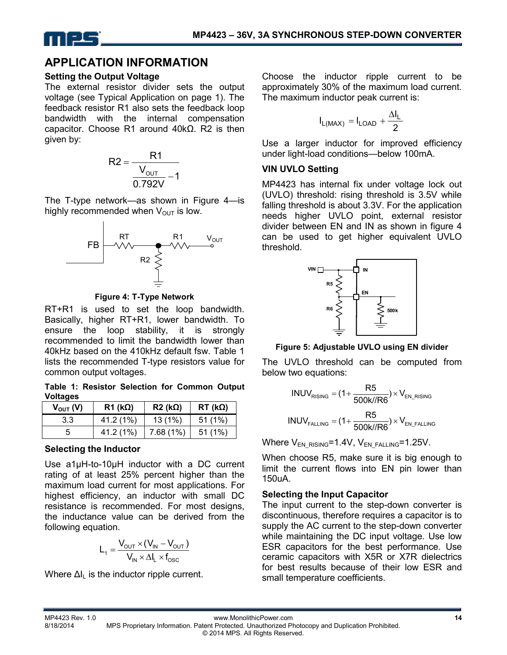

### **APPLICATION INFORMATION**

#### **Setting the Output Voltage**

The external resistor divider sets the output voltage (see Typical Application on page 1). The feedback resistor R1 also sets the feedback loop bandwidth with the internal compensation capacitor. Choose R1 around 40kΩ. R2 is then given by:



The T-type network—as shown in Figure 4—is highly recommended when  $V_{\text{OUT}}$  is low.



**Figure 4: T-Type Network** 

RT+R1 is used to set the loop bandwidth. Basically, higher RT+R1, lower bandwidth. To ensure the loop stability, it is strongly recommended to limit the bandwidth lower than 40kHz based on the 410kHz default fsw. Table 1 lists the recommended T-type resistors value for common output voltages.

**Table 1: Resistor Selection for Common Output Voltages** 

| $V_{\text{OUT}}(V)$ | $R1$ (kΩ) | $R2$ (kΩ) | $RT$ (k $\Omega$ ) |
|---------------------|-----------|-----------|--------------------|
| 3.3                 | 41.2 (1%) | 13(1%)    | 51(1%)             |
|                     | 41.2 (1%) | 7.68(1%)  | 51(1%)             |

### **Selecting the Inductor**

Use a1µH-to-10µH inductor with a DC current rating of at least 25% percent higher than the maximum load current for most applications. For highest efficiency, an inductor with small DC resistance is recommended. For most designs, the inductance value can be derived from the following equation.

$$
L_1 = \frac{V_{\text{OUT}} \times (V_{\text{IN}} - V_{\text{OUT}})}{V_{\text{IN}} \times \Delta I_{\text{L}} \times f_{\text{OSC}}}
$$

Where  $\Delta I_L$  is the inductor ripple current.

Choose the inductor ripple current to be approximately 30% of the maximum load current. The maximum inductor peak current is:

$$
I_{L(MAX)} = I_{LOAD} + \frac{\Delta I_L}{2}
$$

Use a larger inductor for improved efficiency under light-load conditions—below 100mA.

### **VIN UVLO Setting**

MP4423 has internal fix under voltage lock out (UVLO) threshold: rising threshold is 3.5V while falling threshold is about 3.3V. For the application needs higher UVLO point, external resistor divider between EN and IN as shown in figure 4 can be used to get higher equivalent UVLO threshold.



### **Figure 5: Adjustable UVLO using EN divider**

The UVLO threshold can be computed from below two equations:

$$
INVV_{RISING} = (1 + \frac{R5}{500 \text{k/} \cdot \text{R6}}) \times V_{EN\_RISING}
$$
\n
$$
INVV_{FALLING} = (1 + \frac{R5}{500 \text{k/} \cdot \text{R6}}) \times V_{EN\_FALLING}
$$

Where  $V_{EN-RISING}=1.4V$ ,  $V_{EN-FALLING}=1.25V$ .

When choose R5, make sure it is big enough to limit the current flows into EN pin lower than 150uA.

### **Selecting the Input Capacitor**

The input current to the step-down converter is discontinuous, therefore requires a capacitor is to supply the AC current to the step-down converter while maintaining the DC input voltage. Use low ESR capacitors for the best performance. Use ceramic capacitors with X5R or X7R dielectrics for best results because of their low ESR and small temperature coefficients.

MP4423 Rev. 1.0 www.MonolithicPower.com **14** MPS Proprietary Information. Patent Protected. Unauthorized Photocopy and Duplication Prohibited. © 2014 MPS. All Rights Reserved.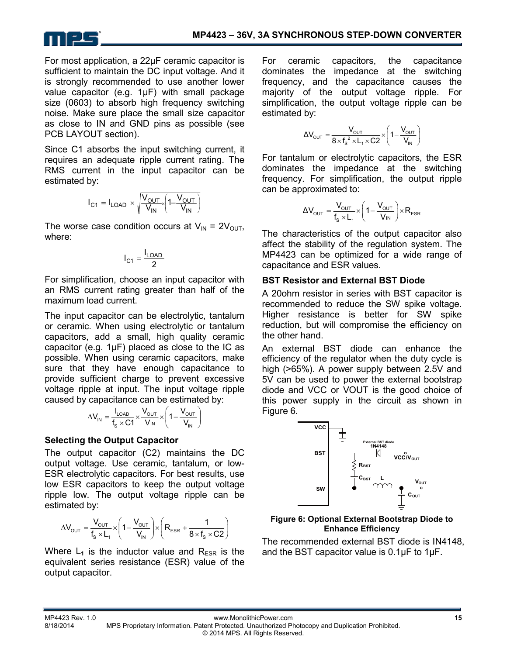

For most application, a 22µF ceramic capacitor is sufficient to maintain the DC input voltage. And it is strongly recommended to use another lower value capacitor (e.g. 1µF) with small package size (0603) to absorb high frequency switching noise. Make sure place the small size capacitor as close to IN and GND pins as possible (see PCB LAYOUT section).

Since C1 absorbs the input switching current, it requires an adequate ripple current rating. The RMS current in the input capacitor can be estimated by:

$$
I_{C1} = I_{LOAD} \times \sqrt{\frac{V_{OUT}}{V_{IN}} \left(1 - \frac{V_{OUT}}{V_{IN}}\right)}
$$

The worse case condition occurs at  $V_{IN} = 2V_{OUT}$ , where:

$$
I_{C1} = \frac{I_{LOAD}}{2}
$$

For simplification, choose an input capacitor with an RMS current rating greater than half of the maximum load current.

The input capacitor can be electrolytic, tantalum or ceramic. When using electrolytic or tantalum capacitors, add a small, high quality ceramic capacitor (e.g. 1μF) placed as close to the IC as possible. When using ceramic capacitors, make sure that they have enough capacitance to provide sufficient charge to prevent excessive voltage ripple at input. The input voltage ripple caused by capacitance can be estimated by:

$$
\Delta V_{IN} = \frac{I_{LOAD}}{f_s \times C1} \times \frac{V_{OUT}}{V_{IN}} \times \left(1 - \frac{V_{OUT}}{V_{IN}}\right)
$$

### **Selecting the Output Capacitor**

The output capacitor (C2) maintains the DC output voltage. Use ceramic, tantalum, or low-ESR electrolytic capacitors. For best results, use low ESR capacitors to keep the output voltage ripple low. The output voltage ripple can be estimated by:

$$
\Delta V_{\text{OUT}} = \frac{V_{\text{OUT}}}{f_s \times L_1} \times \left(1 - \frac{V_{\text{OUT}}}{V_{\text{IN}}}\right) \times \left(R_{\text{ESR}} + \frac{1}{8 \times f_s \times C2}\right)
$$

Where  $L_1$  is the inductor value and  $R_{FSR}$  is the equivalent series resistance (ESR) value of the output capacitor.

For ceramic capacitors, the capacitance dominates the impedance at the switching frequency, and the capacitance causes the majority of the output voltage ripple. For simplification, the output voltage ripple can be estimated by:

$$
\Delta V_{\text{OUT}} = \frac{V_{\text{OUT}}}{8 \times f_s^2 \times L_1 \times C2} \times \left(1 - \frac{V_{\text{OUT}}}{V_{\text{IN}}}\right)
$$

For tantalum or electrolytic capacitors, the ESR dominates the impedance at the switching frequency. For simplification, the output ripple can be approximated to:

$$
\Delta V_{\text{OUT}} = \frac{V_{\text{OUT}}}{f_s \times L_1} \times \left(1 - \frac{V_{\text{OUT}}}{V_{\text{IN}}}\right) \times R_{\text{ESR}}
$$

The characteristics of the output capacitor also affect the stability of the regulation system. The MP4423 can be optimized for a wide range of capacitance and ESR values.

### **BST Resistor and External BST Diode**

A 20ohm resistor in series with BST capacitor is recommended to reduce the SW spike voltage. Higher resistance is better for SW spike reduction, but will compromise the efficiency on the other hand.

An external BST diode can enhance the efficiency of the regulator when the duty cycle is high (>65%). A power supply between 2.5V and 5V can be used to power the external bootstrap diode and VCC or VOUT is the good choice of this power supply in the circuit as shown in Figure 6.



#### **Figure 6: Optional External Bootstrap Diode to Enhance Efficiency**

The recommended external BST diode is IN4148, and the BST capacitor value is 0.1µF to 1μF.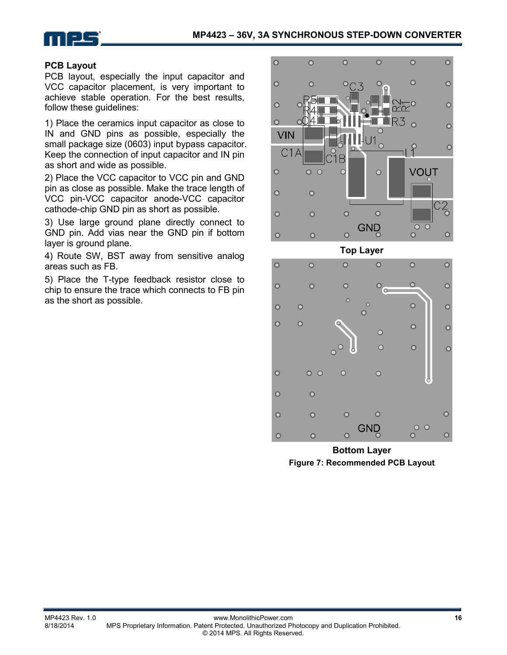

### **PCB Layout**

PCB layout, especially the input capacitor and VCC capacitor placement, is very important to achieve stable operation. For the best results, follow these guidelines:

1) Place the ceramics input capacitor as close to IN and GND pins as possible, especially the small package size (0603) input bypass capacitor. Keep the connection of input capacitor and IN pin as short and wide as possible.

2) Place the VCC capacitor to VCC pin and GND pin as close as possible. Make the trace length of VCC pin-VCC capacitor anode-VCC capacitor cathode-chip GND pin as short as possible.

3) Use large ground plane directly connect to GND pin. Add vias near the GND pin if bottom layer is ground plane.

4) Route SW, BST away from sensitive analog areas such as FB.

5) Place the T-type feedback resistor close to chip to ensure the trace which connects to FB pin as the short as possible.



**Bottom Layer Figure 7: Recommended PCB Layout** 

 $\overline{O}$ 

 $\overline{O}$ 

 $\circ$ 

 $\circ$ 

 $O$   $O$ 

 $\overline{O}$ 

 $\circ$ 

 $\circ$ 

 $\circ$ 

 $\overline{O}$ 

 $\overline{O}$ 

 $\circ$ 

 $\circ$ 

GND

 $\overline{\mathsf{O}}$ 

 $\overline{O}$ 

 $O$   $O$ 

 $\overline{O}$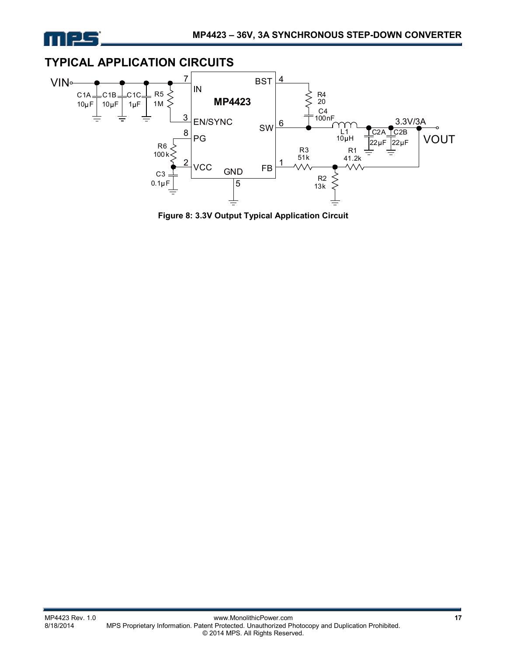



**Figure 8: 3.3V Output Typical Application Circuit**